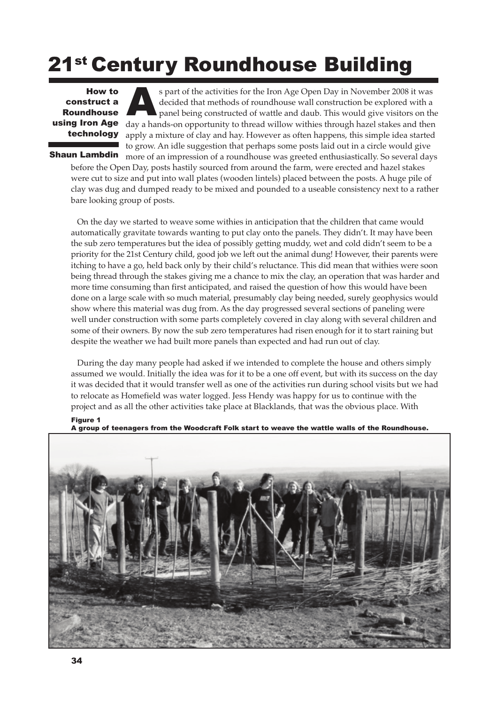## 21st Century Roundhouse Building

construct a Roundhouse technology

s part of the activities for the Iron Age Open Day in November 2008 it was decided that methods of roundhouse wall construction be explored with a panel being constructed of wattle and daub. This would give visitors on the **decided** that methods of roundhouse wall construction be explored with a<br> **Roundhouse**<br> **Roundhouse**<br> **Roundhouse**<br> **Roundhouse**<br> **Roundhouse**<br> **Roundhouse**<br> **Roundhouse**<br> **Roundhouse**<br>  $\frac{1}{2}$ <br> **Roundhouse**<br>  $\frac{1}{2}$ <br> apply a mixture of clay and hay. However as often happens, this simple idea started to grow. An idle suggestion that perhaps some posts laid out in a circle would give more of an impression of a roundhouse was greeted enthusiastically. So several days

Shaun Lambdin

Figure 1

before the Open Day, posts hastily sourced from around the farm, were erected and hazel stakes were cut to size and put into wall plates (wooden lintels) placed between the posts. A huge pile of clay was dug and dumped ready to be mixed and pounded to a useable consistency next to a rather bare looking group of posts.

On the day we started to weave some withies in anticipation that the children that came would automatically gravitate towards wanting to put clay onto the panels. They didn't. It may have been the sub zero temperatures but the idea of possibly getting muddy, wet and cold didn't seem to be a priority for the 21st Century child, good job we left out the animal dung! However, their parents were itching to have a go, held back only by their child's reluctance. This did mean that withies were soon being thread through the stakes giving me a chance to mix the clay, an operation that was harder and more time consuming than first anticipated, and raised the question of how this would have been done on a large scale with so much material, presumably clay being needed, surely geophysics would show where this material was dug from. As the day progressed several sections of paneling were well under construction with some parts completely covered in clay along with several children and some of their owners. By now the sub zero temperatures had risen enough for it to start raining but despite the weather we had built more panels than expected and had run out of clay.

During the day many people had asked if we intended to complete the house and others simply assumed we would. Initially the idea was for it to be a one off event, but with its success on the day it was decided that it would transfer well as one of the activities run during school visits but we had to relocate as Homefield was water logged. Jess Hendy was happy for us to continue with the project and as all the other activities take place at Blacklands, that was the obvious place. With



A group of teenagers from the Woodcraft Folk start to weave the wattle walls of the Roundhouse.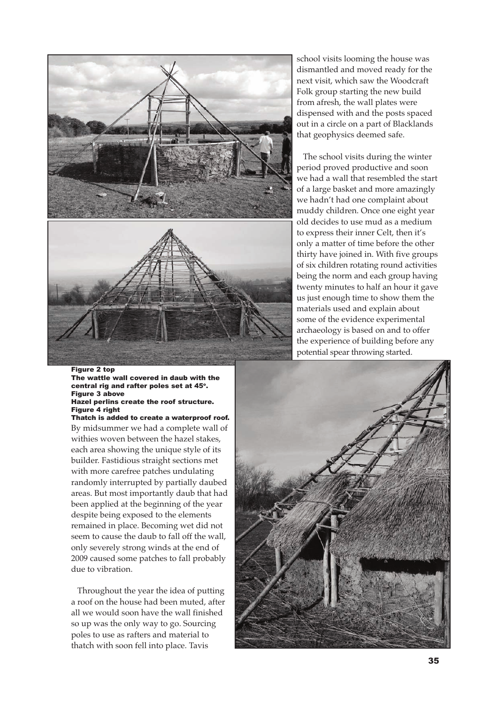

## Figure 2 top

The wattle wall covered in daub with the central rig and rafter poles set at 45°. Figure 3 above Hazel perlins create the roof structure. Figure 4 right

By midsummer we had a complete wall of withies woven between the hazel stakes, each area showing the unique style of its builder. Fastidious straight sections met with more carefree patches undulating randomly interrupted by partially daubed areas. But most importantly daub that had been applied at the beginning of the year despite being exposed to the elements remained in place. Becoming wet did not seem to cause the daub to fall off the wall, only severely strong winds at the end of 2009 caused some patches to fall probably due to vibration. Thatch is added to create a waterproof roof.

Throughout the year the idea of putting a roof on the house had been muted, after all we would soon have the wall finished so up was the only way to go. Sourcing poles to use as rafters and material to thatch with soon fell into place. Tavis

school visits looming the house was dismantled and moved ready for the next visit, which saw the Woodcraft Folk group starting the new build from afresh, the wall plates were dispensed with and the posts spaced out in a circle on a part of Blacklands that geophysics deemed safe.

The school visits during the winter period proved productive and soon we had a wall that resembled the start of a large basket and more amazingly we hadn't had one complaint about muddy children. Once one eight year old decides to use mud as a medium to express their inner Celt, then it's only a matter of time before the other thirty have joined in. With five groups of six children rotating round activities being the norm and each group having twenty minutes to half an hour it gave us just enough time to show them the materials used and explain about some of the evidence experimental archaeology is based on and to offer the experience of building before any potential spear throwing started.